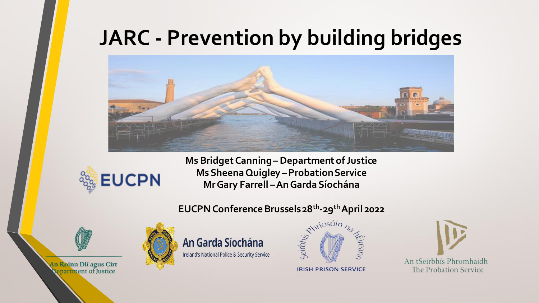#### **JARC - Prevention by building bridges**





**Ms Bridget Canning –Department of Justice Ms Sheena Quigley –Probation Service Mr Gary Farrell –An Garda Síochána**

#### **EUCPN Conference Brussels 28th -29thApril 2022**



An Roinn Dlí agus Cirt repartment of Justice

An Garda Síochána Ireland's National Police & Security Service



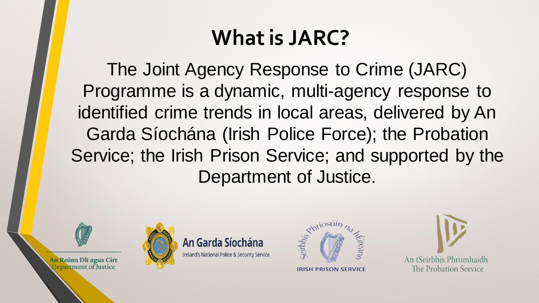### **What is JARC?**

The Joint Agency Response to Crime (JARC) Programme is a dynamic, multi-agency response to identified crime trends in local areas, delivered by An Garda Síochána (Irish Police Force); the Probation Service; the Irish Prison Service; and supported by the Department of Justice.



An Garda Síochána Ireland's National Police & Security Service



**IRISH PRISON SERVICE** 



An Roinn Dlí agus Cirt Department of Justice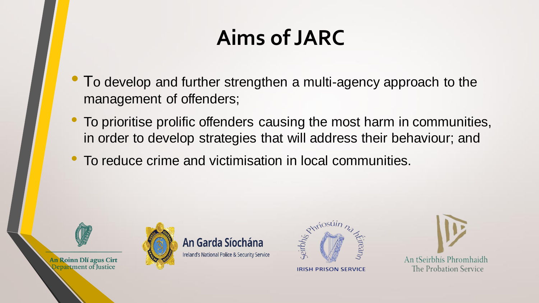## **Aims of JARC**

- To develop and further strengthen a multi-agency approach to the management of offenders;
- To prioritise prolific offenders causing the most harm in communities, in order to develop strategies that will address their behaviour; and
- To reduce crime and victimisation in local communities.



An Garda Síochána Ireland's National Police & Security Service



**IRISH PRISON SERVICE** 



An Roinn Dlí agus Cirt **Oepartment of Justice**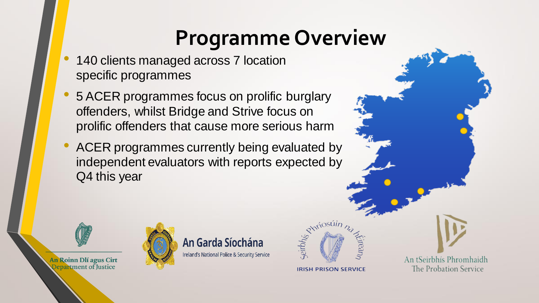#### **Programme Overview**

- 140 clients managed across 7 location specific programmes
- 5 ACER programmes focus on prolific burglary offenders, whilst Bridge and Strive focus on prolific offenders that cause more serious harm
- ACER programmes currently being evaluated by independent evaluators with reports expected by Q4 this year

An Garda Síochána

Ireland's National Police & Security Service



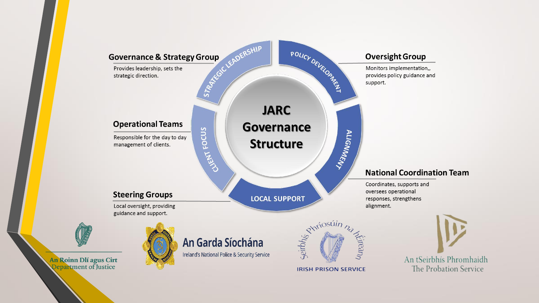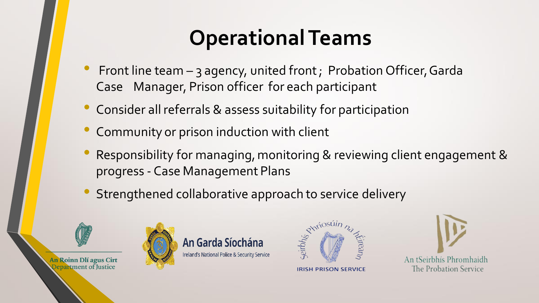## **Operational Teams**

- Front line team 3 agency, united front ; Probation Officer, Garda Case Manager, Prison officer for each participant
- Consider all referrals & assess suitability for participation
- Community or prison induction with client
- Responsibility for managing, monitoring & reviewing client engagement & progress - Case Management Plans
- Strengthened collaborative approach to service delivery



An Garda Síochána Ireland's National Police & Security Service





An Roinn Dlí agus Cirt **Qepartment of Justice**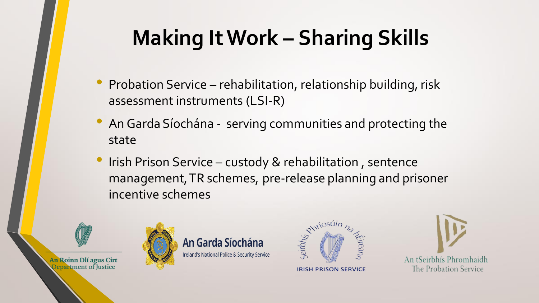# **Making It Work – Sharing Skills**

- Probation Service rehabilitation, relationship building, risk assessment instruments (LSI-R)
- An Garda Síochána serving communities and protecting the state
- Irish Prison Service custody & rehabilitation, sentence management, TR schemes, pre-release planning and prisoner incentive schemes



An Roinn Dlí agus Cirt **Oepartment of Justice** 

An Garda Síochána Ireland's National Police & Security Service



An tSeirbhís Phromhaidh The Probation Service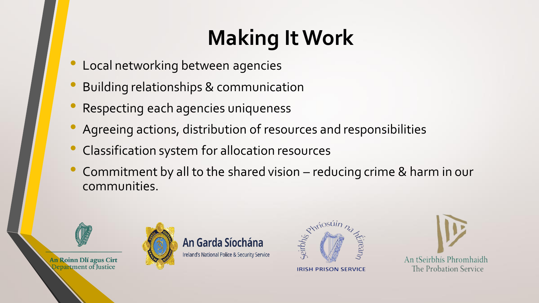# **Making It Work**

- Local networking between agencies
- Building relationships & communication
- Respecting each agencies uniqueness
- Agreeing actions, distribution of resources and responsibilities
- Classification system for allocation resources
- Commitment by all to the shared vision reducing crime & harm in our communities.



An Roinn Dlí agus Cirt **Qepartment of Justice** 

An Garda Síochána Ireland's National Police & Security Service



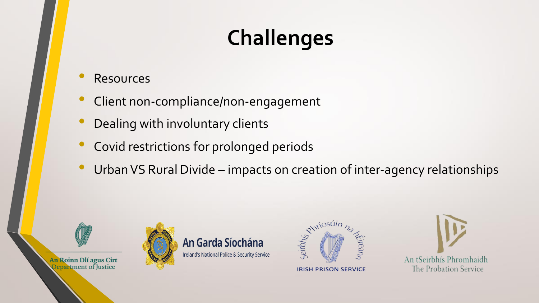# **Challenges**

**Resources** 

An Roinn Dlí agus Cirt Department of Justice

- Client non-compliance/non-engagement
- Dealing with involuntary clients
- Covid restrictions for prolonged periods
- Urban VS Rural Divide impacts on creation of inter-agency relationships





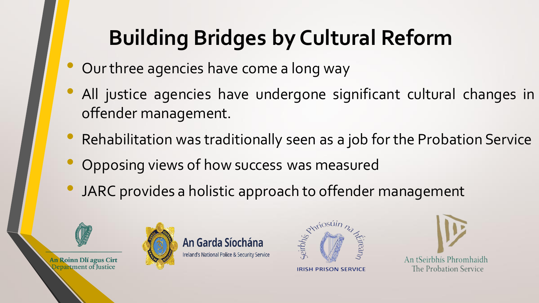# **Building Bridges by Cultural Reform**

- Our three agencies have come a long way
- All justice agencies have undergone significant cultural changes in offender management.
- Rehabilitation was traditionally seen as a job for the Probation Service
- Opposing views of how success was measured
- JARC provides a holistic approach to offender management





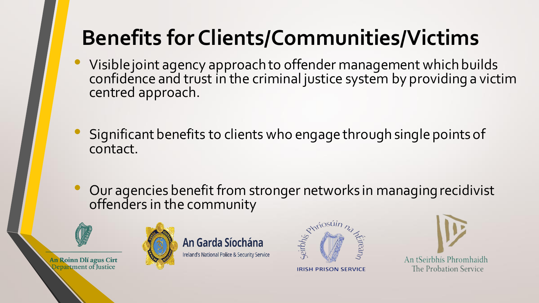## **Benefits for Clients/Communities/Victims**

- Visible joint agency approach to offender management which builds confidence and trust in the criminal justice system by providing a victim centred approach.
- Significant benefits to clients who engage through single points of contact.
- Our agencies benefit from stronger networks in managing recidivist offenders in the community



An Roinn Dlí agus Cirt **Oepartment of Justice** 





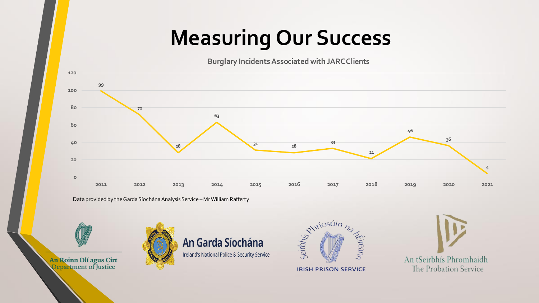## **Measuring Our Success**

**Burglary Incidents Associated with JARC Clients**



Data provided by the Garda Síochána Analysis Service –Mr William Rafferty



**Qepartment of Justice** 





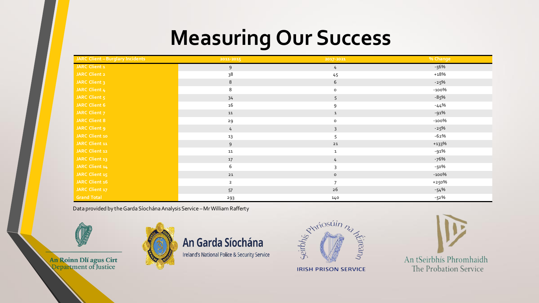## **Measuring Our Success**

| JARC Client - Burglary Incidents | 2011-2015    | 2017-2021      | % Change |
|----------------------------------|--------------|----------------|----------|
| JARC Client 1                    | 9            | 4              | -56%     |
| <b>JARC Client 2</b>             | 38           | 45             | $+18%$   |
| JARC Client 3                    | 8            | 6              | $-25%$   |
| JARC Client 4                    | 8            | $\mathsf{o}\,$ | $-100%$  |
| JARC Client 5                    | 34           | 5              | $-85%$   |
| JARC Client 6                    | 16           | 9              | $-44%$   |
| JARC Client 7                    | ${\tt11}$    | $\mathbf 1$    | $-91%$   |
| <b>JARC Client 8</b>             | 29           | $\circ$        | $-100%$  |
| JARC Client 9                    | 4            | $\overline{3}$ | $-25%$   |
| JARC Client 10                   | 13           | 5              | $-62%$   |
| JARC Client 11                   | 9            | 21             | $+133%$  |
| JARC Client 12                   | ${\bf 11}$   | $\mathbf{1}$   | -91%     |
| JARC Client 13                   | $17$         | 4              | -76%     |
| JARC Client 14                   | 6            | 3              | -50%     |
| JARC Client 15                   | $21\,$       | $\circ$        | $-100%$  |
| JARC Client 16                   | $\mathbf{2}$ | $\overline{7}$ | +250%    |
| JARC Client 17                   | 57           | $26$           | $-54%$   |
| <b>Grand Total</b>               | 293          | 140            | $-52%$   |

Data provided by the Garda Síochána Analysis Service – Mr William Rafferty



An Roinn Dlí agus Cirt<br>Qepartment of Justice







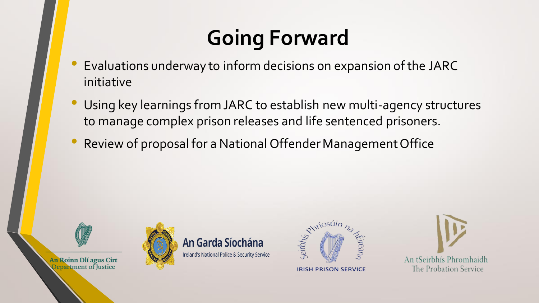## **Going Forward**

- Evaluations underway to inform decisions on expansion of the JARC initiative
- Using key learnings from JARC to establish new multi-agency structures to manage complex prison releases and life sentenced prisoners.
- Review of proposal for a National Offender Management Office



An Roinn Dlí agus Cirt **Qepartment of Justice** 

An Garda Síochána Ireland's National Police & Security Service